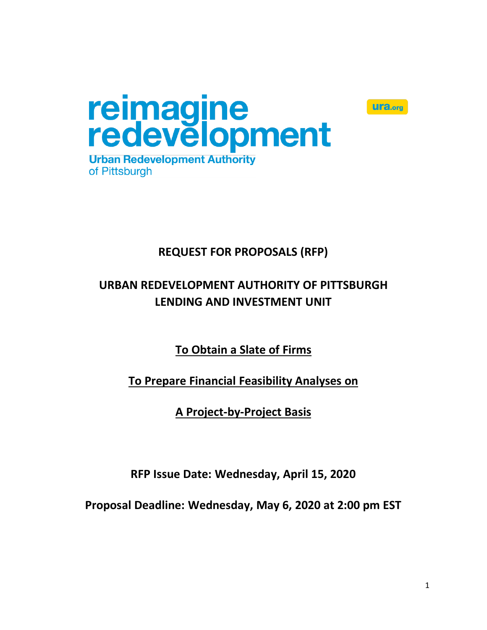



**Urban Redevelopment Authority** of Pittsburgh

# **REQUEST FOR PROPOSALS (RFP)**

# **URBAN REDEVELOPMENT AUTHORITY OF PITTSBURGH LENDING AND INVESTMENT UNIT**

**To Obtain a Slate of Firms**

**To Prepare Financial Feasibility Analyses on**

**A Project-by-Project Basis**

**RFP Issue Date: Wednesday, April 15, 2020**

**Proposal Deadline: Wednesday, May 6, 2020 at 2:00 pm EST**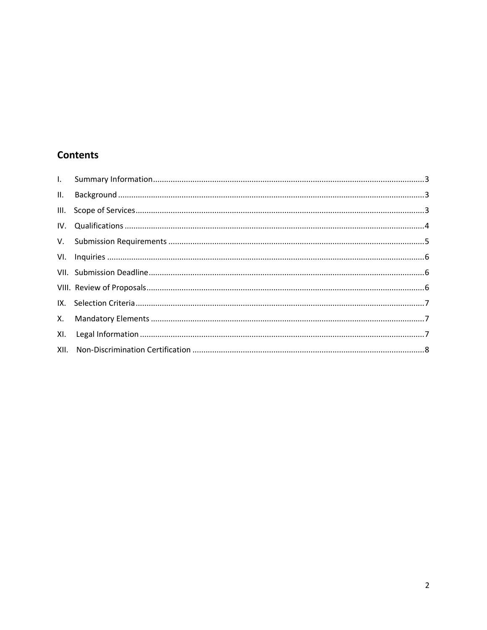# **Contents**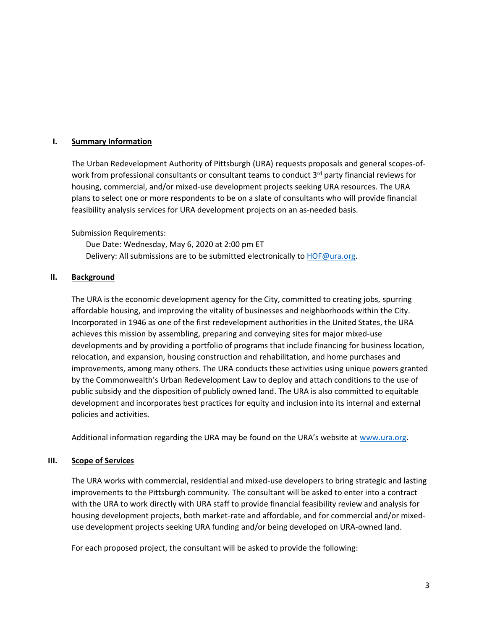#### <span id="page-2-0"></span>**I. Summary Information**

The Urban Redevelopment Authority of Pittsburgh (URA) requests proposals and general scopes-ofwork from professional consultants or consultant teams to conduct 3<sup>rd</sup> party financial reviews for housing, commercial, and/or mixed-use development projects seeking URA resources. The URA plans to select one or more respondents to be on a slate of consultants who will provide financial feasibility analysis services for URA development projects on an as-needed basis.

Submission Requirements:

Due Date: Wednesday, May 6, 2020 at 2:00 pm ET Delivery: All submissions are to be submitted electronically to [HOF@ura.org.](mailto:HOF@ura.org) 

#### <span id="page-2-1"></span>**II. Background**

The URA is the economic development agency for the City, committed to creating jobs, spurring affordable housing, and improving the vitality of businesses and neighborhoods within the City. Incorporated in 1946 as one of the first redevelopment authorities in the United States, the URA achieves this mission by assembling, preparing and conveying sites for major mixed-use developments and by providing a portfolio of programs that include financing for business location, relocation, and expansion, housing construction and rehabilitation, and home purchases and improvements, among many others. The URA conducts these activities using unique powers granted by the Commonwealth's Urban Redevelopment Law to deploy and attach conditions to the use of public subsidy and the disposition of publicly owned land. The URA is also committed to equitable development and incorporates best practices for equity and inclusion into its internal and external policies and activities.

Additional information regarding the URA may be found on the URA's website at [www.ura.org.](http://www.ura.org/) 

#### <span id="page-2-2"></span>**III. Scope of Services**

The URA works with commercial, residential and mixed-use developers to bring strategic and lasting improvements to the Pittsburgh community. The consultant will be asked to enter into a contract with the URA to work directly with URA staff to provide financial feasibility review and analysis for housing development projects, both market-rate and affordable, and for commercial and/or mixeduse development projects seeking URA funding and/or being developed on URA-owned land.

For each proposed project, the consultant will be asked to provide the following: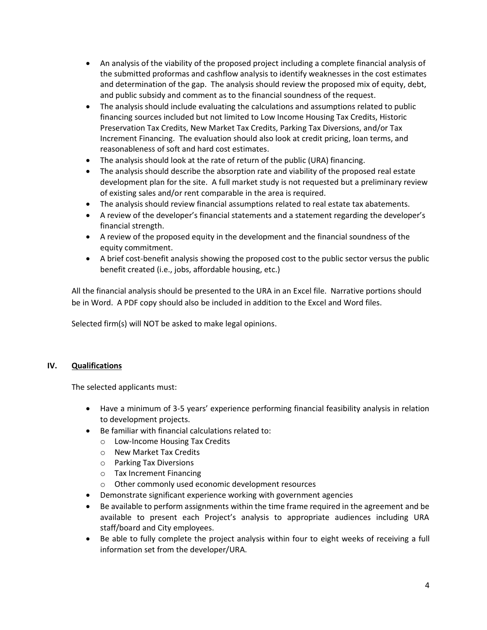- An analysis of the viability of the proposed project including a complete financial analysis of the submitted proformas and cashflow analysis to identify weaknesses in the cost estimates and determination of the gap. The analysis should review the proposed mix of equity, debt, and public subsidy and comment as to the financial soundness of the request.
- The analysis should include evaluating the calculations and assumptions related to public financing sources included but not limited to Low Income Housing Tax Credits, Historic Preservation Tax Credits, New Market Tax Credits, Parking Tax Diversions, and/or Tax Increment Financing. The evaluation should also look at credit pricing, loan terms, and reasonableness of soft and hard cost estimates.
- The analysis should look at the rate of return of the public (URA) financing.
- The analysis should describe the absorption rate and viability of the proposed real estate development plan for the site. A full market study is not requested but a preliminary review of existing sales and/or rent comparable in the area is required.
- The analysis should review financial assumptions related to real estate tax abatements.
- A review of the developer's financial statements and a statement regarding the developer's financial strength.
- A review of the proposed equity in the development and the financial soundness of the equity commitment.
- A brief cost-benefit analysis showing the proposed cost to the public sector versus the public benefit created (i.e., jobs, affordable housing, etc.)

All the financial analysis should be presented to the URA in an Excel file. Narrative portions should be in Word. A PDF copy should also be included in addition to the Excel and Word files.

Selected firm(s) will NOT be asked to make legal opinions.

# <span id="page-3-0"></span>**IV. Qualifications**

The selected applicants must:

- Have a minimum of 3-5 years' experience performing financial feasibility analysis in relation to development projects.
- Be familiar with financial calculations related to:
	- o Low-Income Housing Tax Credits
	- o New Market Tax Credits
	- o Parking Tax Diversions
	- o Tax Increment Financing
	- o Other commonly used economic development resources
- Demonstrate significant experience working with government agencies
- Be available to perform assignments within the time frame required in the agreement and be available to present each Project's analysis to appropriate audiences including URA staff/board and City employees.
- Be able to fully complete the project analysis within four to eight weeks of receiving a full information set from the developer/URA.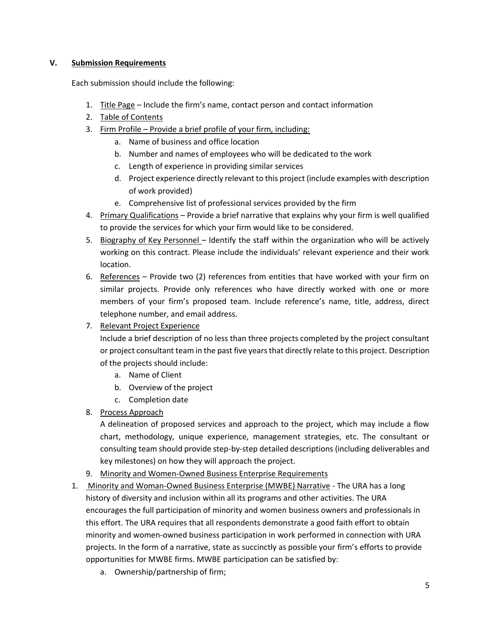# <span id="page-4-0"></span>**V. Submission Requirements**

Each submission should include the following:

- 1. Title Page Include the firm's name, contact person and contact information
- 2. Table of Contents
- 3. Firm Profile Provide a brief profile of your firm, including:
	- a. Name of business and office location
	- b. Number and names of employees who will be dedicated to the work
	- c. Length of experience in providing similar services
	- d. Project experience directly relevant to this project (include examples with description of work provided)
	- e. Comprehensive list of professional services provided by the firm
- 4. Primary Qualifications Provide a brief narrative that explains why your firm is well qualified to provide the services for which your firm would like to be considered.
- 5. Biography of Key Personnel Identify the staff within the organization who will be actively working on this contract. Please include the individuals' relevant experience and their work location.
- 6. References Provide two (2) references from entities that have worked with your firm on similar projects. Provide only references who have directly worked with one or more members of your firm's proposed team. Include reference's name, title, address, direct telephone number, and email address.
- 7. Relevant Project Experience

Include a brief description of no less than three projects completed by the project consultant or project consultant team in the past five years that directly relate to this project. Description of the projects should include:

- a. Name of Client
- b. Overview of the project
- c. Completion date
- 8. Process Approach

A delineation of proposed services and approach to the project, which may include a flow chart, methodology, unique experience, management strategies, etc. The consultant or consulting team should provide step-by-step detailed descriptions (including deliverables and key milestones) on how they will approach the project.

- 9. Minority and Women-Owned Business Enterprise Requirements
- 1. Minority and Woman-Owned Business Enterprise (MWBE) Narrative The URA has a long history of diversity and inclusion within all its programs and other activities. The URA encourages the full participation of minority and women business owners and professionals in this effort. The URA requires that all respondents demonstrate a good faith effort to obtain minority and women-owned business participation in work performed in connection with URA projects. In the form of a narrative, state as succinctly as possible your firm's efforts to provide opportunities for MWBE firms. MWBE participation can be satisfied by:
	- a. Ownership/partnership of firm;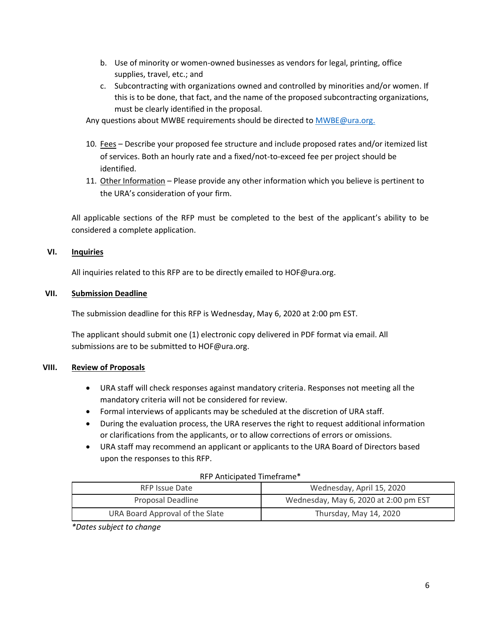- b. Use of minority or women-owned businesses as vendors for legal, printing, office supplies, travel, etc.; and
- c. Subcontracting with organizations owned and controlled by minorities and/or women. If this is to be done, that fact, and the name of the proposed subcontracting organizations, must be clearly identified in the proposal.

Any questions about MWBE requirements should be directed t[o MWBE@ura.org.](mailto:MWBE@ura.org)

- 10. Fees Describe your proposed fee structure and include proposed rates and/or itemized list of services. Both an hourly rate and a fixed/not-to-exceed fee per project should be identified.
- 11. Other Information Please provide any other information which you believe is pertinent to the URA's consideration of your firm.

All applicable sections of the RFP must be completed to the best of the applicant's ability to be considered a complete application.

## <span id="page-5-0"></span>**VI. Inquiries**

All inquiries related to this RFP are to be directly emailed to HOF@ura.org.

## <span id="page-5-1"></span>**VII. Submission Deadline**

The submission deadline for this RFP is Wednesday, May 6, 2020 at 2:00 pm EST.

The applicant should submit one (1) electronic copy delivered in PDF format via email. All submissions are to be submitted to HOF@ura.org.

#### <span id="page-5-2"></span>**VIII. Review of Proposals**

- URA staff will check responses against mandatory criteria. Responses not meeting all the mandatory criteria will not be considered for review.
- Formal interviews of applicants may be scheduled at the discretion of URA staff.
- During the evaluation process, the URA reserves the right to request additional information or clarifications from the applicants, or to allow corrections of errors or omissions.
- URA staff may recommend an applicant or applicants to the URA Board of Directors based upon the responses to this RFP.

#### RFP Anticipated Timeframe\*

| RFP Issue Date                  | Wednesday, April 15, 2020             |
|---------------------------------|---------------------------------------|
| Proposal Deadline               | Wednesday, May 6, 2020 at 2:00 pm EST |
| URA Board Approval of the Slate | Thursday, May 14, 2020                |

*\*Dates subject to change*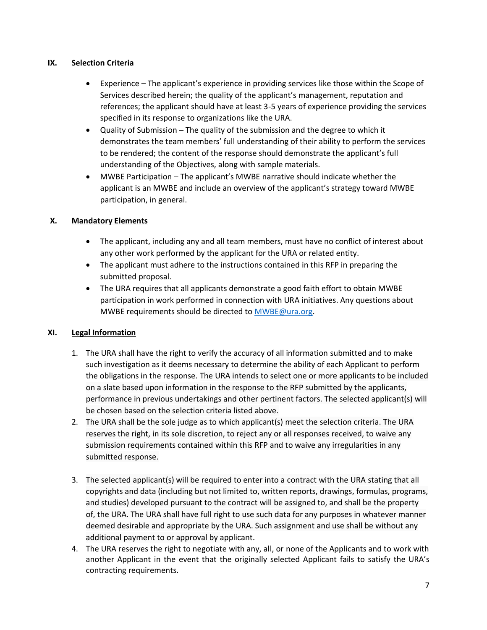# <span id="page-6-0"></span>**IX. Selection Criteria**

- Experience The applicant's experience in providing services like those within the Scope of Services described herein; the quality of the applicant's management, reputation and references; the applicant should have at least 3-5 years of experience providing the services specified in its response to organizations like the URA.
- Quality of Submission The quality of the submission and the degree to which it demonstrates the team members' full understanding of their ability to perform the services to be rendered; the content of the response should demonstrate the applicant's full understanding of the Objectives, along with sample materials.
- MWBE Participation The applicant's MWBE narrative should indicate whether the applicant is an MWBE and include an overview of the applicant's strategy toward MWBE participation, in general.

# <span id="page-6-1"></span>**X. Mandatory Elements**

- The applicant, including any and all team members, must have no conflict of interest about any other work performed by the applicant for the URA or related entity.
- The applicant must adhere to the instructions contained in this RFP in preparing the submitted proposal.
- The URA requires that all applicants demonstrate a good faith effort to obtain MWBE participation in work performed in connection with URA initiatives. Any questions about MWBE requirements should be directed to [MWBE@ura.org.](mailto:MWBE@ura.org)

# <span id="page-6-2"></span>**XI. Legal Information**

- 1. The URA shall have the right to verify the accuracy of all information submitted and to make such investigation as it deems necessary to determine the ability of each Applicant to perform the obligations in the response. The URA intends to select one or more applicants to be included on a slate based upon information in the response to the RFP submitted by the applicants, performance in previous undertakings and other pertinent factors. The selected applicant(s) will be chosen based on the selection criteria listed above.
- 2. The URA shall be the sole judge as to which applicant(s) meet the selection criteria. The URA reserves the right, in its sole discretion, to reject any or all responses received, to waive any submission requirements contained within this RFP and to waive any irregularities in any submitted response.
- 3. The selected applicant(s) will be required to enter into a contract with the URA stating that all copyrights and data (including but not limited to, written reports, drawings, formulas, programs, and studies) developed pursuant to the contract will be assigned to, and shall be the property of, the URA. The URA shall have full right to use such data for any purposes in whatever manner deemed desirable and appropriate by the URA. Such assignment and use shall be without any additional payment to or approval by applicant.
- 4. The URA reserves the right to negotiate with any, all, or none of the Applicants and to work with another Applicant in the event that the originally selected Applicant fails to satisfy the URA's contracting requirements.